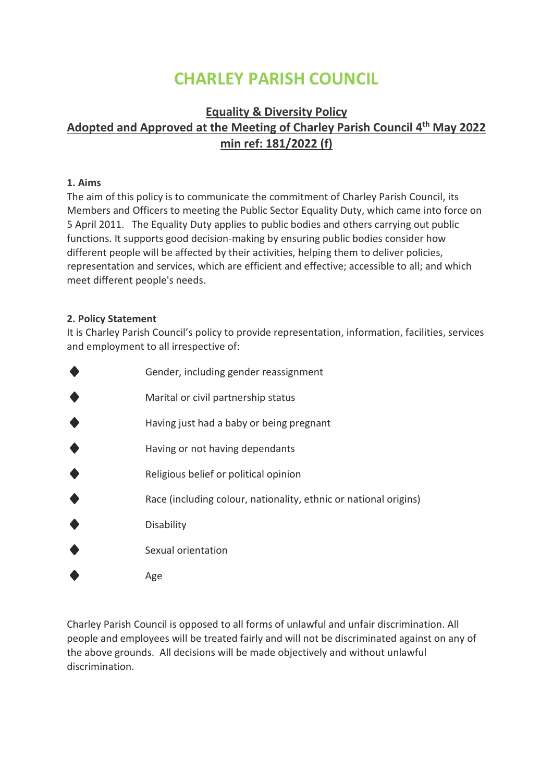# **CHARLEY PARISH COUNCIL**

# **Equality & Diversity Policy Adopted and Approved at the Meeting of Charley Parish Council 4 th May 2022 min ref: 181/2022 (f)**

#### **1. Aims**

The aim of this policy is to communicate the commitment of Charley Parish Council, its Members and Officers to meeting the Public Sector Equality Duty, which came into force on 5 April 2011. The Equality Duty applies to public bodies and others carrying out public functions. It supports good decision-making by ensuring public bodies consider how different people will be affected by their activities, helping them to deliver policies, representation and services, which are efficient and effective; accessible to all; and which meet different people's needs.

#### **2. Policy Statement**

It is Charley Parish Council's policy to provide representation, information, facilities, services and employment to all irrespective of:

| Gender, including gender reassignment                            |
|------------------------------------------------------------------|
| Marital or civil partnership status                              |
| Having just had a baby or being pregnant                         |
| Having or not having dependants                                  |
| Religious belief or political opinion                            |
| Race (including colour, nationality, ethnic or national origins) |
| Disability                                                       |
| Sexual orientation                                               |
| Age                                                              |

Charley Parish Council is opposed to all forms of unlawful and unfair discrimination. All people and employees will be treated fairly and will not be discriminated against on any of the above grounds. All decisions will be made objectively and without unlawful discrimination.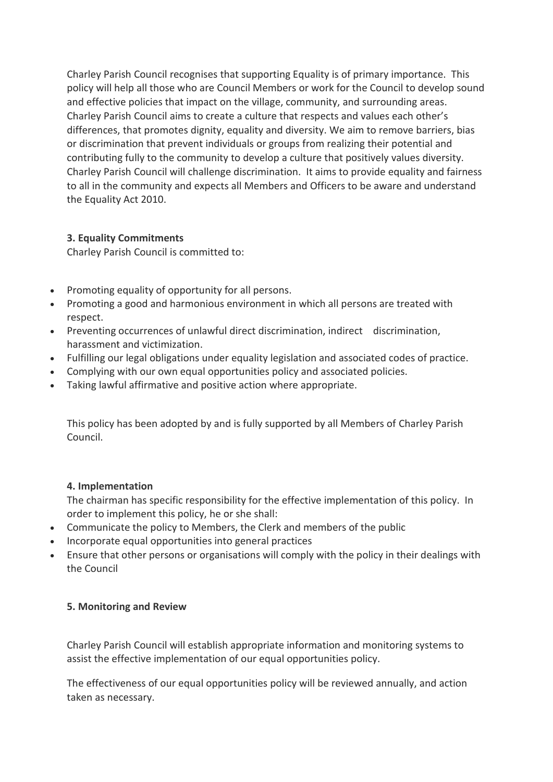Charley Parish Council recognises that supporting Equality is of primary importance. This policy will help all those who are Council Members or work for the Council to develop sound and effective policies that impact on the village, community, and surrounding areas. Charley Parish Council aims to create a culture that respects and values each other's differences, that promotes dignity, equality and diversity. We aim to remove barriers, bias or discrimination that prevent individuals or groups from realizing their potential and contributing fully to the community to develop a culture that positively values diversity. Charley Parish Council will challenge discrimination. It aims to provide equality and fairness to all in the community and expects all Members and Officers to be aware and understand the Equality Act 2010.

# **3. Equality Commitments**

Charley Parish Council is committed to:

- Promoting equality of opportunity for all persons.
- Promoting a good and harmonious environment in which all persons are treated with respect.
- Preventing occurrences of unlawful direct discrimination, indirect discrimination, harassment and victimization.
- Fulfilling our legal obligations under equality legislation and associated codes of practice.
- Complying with our own equal opportunities policy and associated policies.
- Taking lawful affirmative and positive action where appropriate.

This policy has been adopted by and is fully supported by all Members of Charley Parish Council.

# **4. Implementation**

The chairman has specific responsibility for the effective implementation of this policy. In order to implement this policy, he or she shall:

- Communicate the policy to Members, the Clerk and members of the public
- Incorporate equal opportunities into general practices
- Ensure that other persons or organisations will comply with the policy in their dealings with the Council

# **5. Monitoring and Review**

Charley Parish Council will establish appropriate information and monitoring systems to assist the effective implementation of our equal opportunities policy.

The effectiveness of our equal opportunities policy will be reviewed annually, and action taken as necessary.